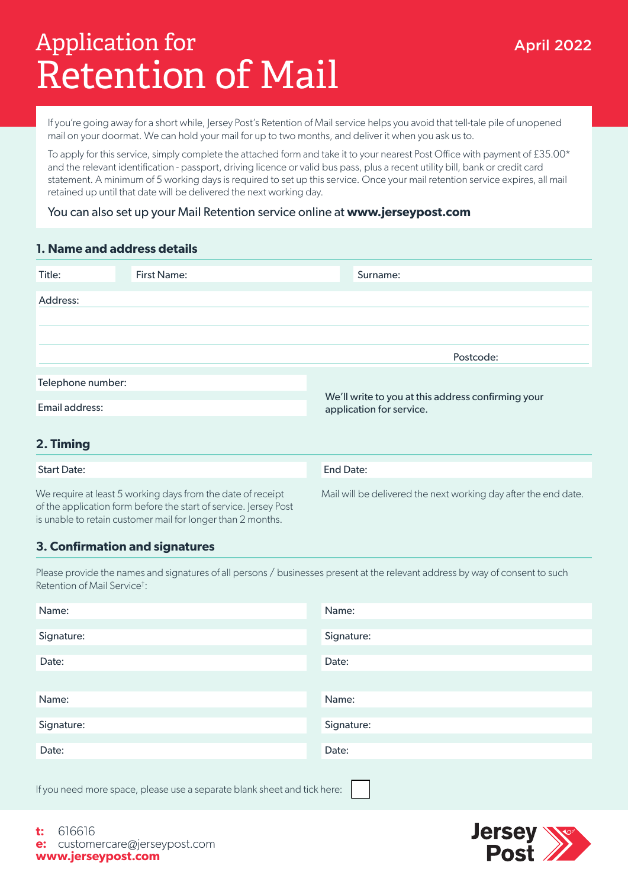# Retention of Mail Application for the Contraction of the April 2022

If you're going away for a short while, Jersey Post's Retention of Mail service helps you avoid that tell-tale pile of unopened mail on your doormat. We can hold your mail for up to two months, and deliver it when you ask us to.

To apply for this service, simply complete the attached form and take it to your nearest Post Office with payment of £35.00\* and the relevant identification - passport, driving licence or valid bus pass, plus a recent utility bill, bank or credit card statement. A minimum of 5 working days is required to set up this service. Once your mail retention service expires, all mail retained up until that date will be delivered the next working day.

## You can also set up your Mail Retention service online at **www.jerseypost.com**

## **1. Name and address details**

| Title:                              | <b>First Name:</b> | Surname:                                                                       |
|-------------------------------------|--------------------|--------------------------------------------------------------------------------|
| Address:                            |                    |                                                                                |
|                                     |                    |                                                                                |
|                                     |                    |                                                                                |
|                                     |                    | Postcode:                                                                      |
| Telephone number:<br>Email address: |                    |                                                                                |
|                                     |                    | We'll write to you at this address confirming your<br>application for service. |
|                                     |                    |                                                                                |
| 2. Timing                           |                    |                                                                                |

| <b>Start Date:</b>                                                                                                                                                                             | End Date:                                                       |  |
|------------------------------------------------------------------------------------------------------------------------------------------------------------------------------------------------|-----------------------------------------------------------------|--|
| We require at least 5 working days from the date of receipt<br>of the application form before the start of service. Jersey Post<br>is unable to retain customer mail for longer than 2 months. | Mail will be delivered the next working day after the end date. |  |

## **3. Confirmation and signatures**

Please provide the names and signatures of all persons / businesses present at the relevant address by way of consent to such Retention of Mail Service† :

| Name:                                                                    | Name:      |  |  |  |
|--------------------------------------------------------------------------|------------|--|--|--|
|                                                                          |            |  |  |  |
| Signature:                                                               | Signature: |  |  |  |
|                                                                          |            |  |  |  |
| Date:                                                                    | Date:      |  |  |  |
|                                                                          |            |  |  |  |
|                                                                          |            |  |  |  |
| Name:                                                                    | Name:      |  |  |  |
|                                                                          |            |  |  |  |
| Signature:                                                               | Signature: |  |  |  |
|                                                                          |            |  |  |  |
|                                                                          |            |  |  |  |
| Date:                                                                    | Date:      |  |  |  |
|                                                                          |            |  |  |  |
|                                                                          |            |  |  |  |
| If you need more space, please use a separate blank sheet and tick here: |            |  |  |  |



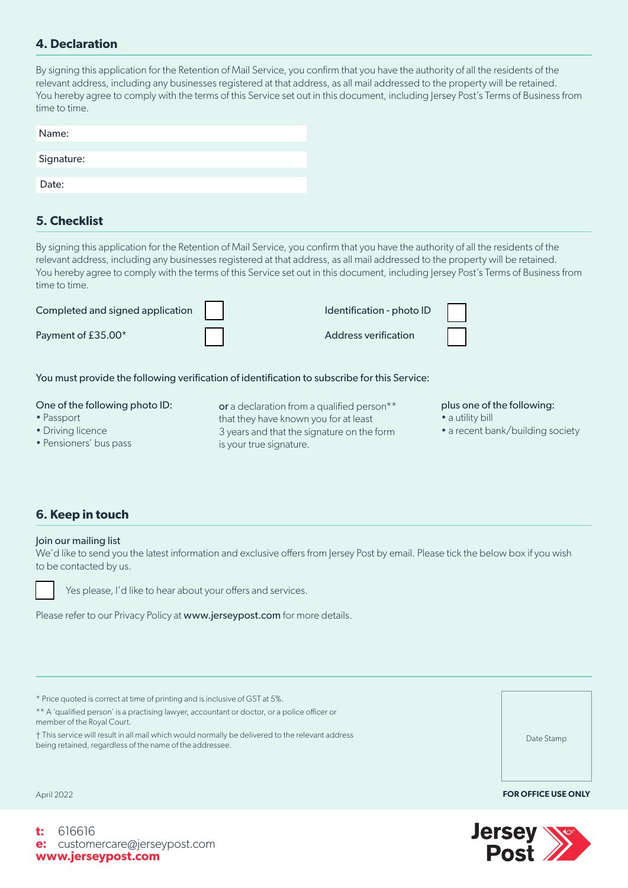## **4. Declaration**

By signing this application for the Retention of Mail Service, you confirm that you have the authority of all the residents of the relevant address, including any businesses registered at that address, as all mail addressed to the property will be retained. You hereby agree to comply with the terms of this Service set out in this document, including Jersey Post's Terms of Business from time to time.

| Name:      |  |  |
|------------|--|--|
| Signature: |  |  |
| Date:      |  |  |
|            |  |  |

## **5. Checklist**

By signing this application for the Retention of Mail Service, you confirm that you have the authority of all the residents of the relevant address, including any businesses registered at that address, as all mail addressed to the property will be retained. You hereby agree to comply with the terms of this Service set out in this document, including Jersey Post's Terms of Business from time to time.



You must provide the following verification of identification to subscribe for this Service:

| One of the following photo ID: | or a declaration from a qualified person** | plus one of the following:       |
|--------------------------------|--------------------------------------------|----------------------------------|
| • Passport                     | that they have known you for at least      | • a utility bill                 |
| • Driving licence              | 3 years and that the signature on the form | • a recent bank/building society |
| • Pensioners' bus pass         | is your true signature.                    |                                  |

## **6. Keep in touch**

### Join our mailing list

We'd like to send you the latest information and exclusive offers from Jersey Post by email. Please tick the below box if you wish to be contacted by us.



Yes please, I'd like to hear about your offers and services.

Please refer to our Privacy Policy at www.jerseypost.com for more details.

\* Price quoted is correct at time of printing and is inclusive of GST at 5%.

\*\* A 'qualified person' is a practising lawyer, accountant or doctor, or a police officer or member of the Royal Court.

† This service will result in all mail which would normally be delivered to the relevant address being retained, regardless of the name of the addressee.

April 2022 **FOR OFFICE USE ONLY**



Date Stamp

**t:** 616616 **e:** customercare@jerseypost.com **www.jerseypost.com**